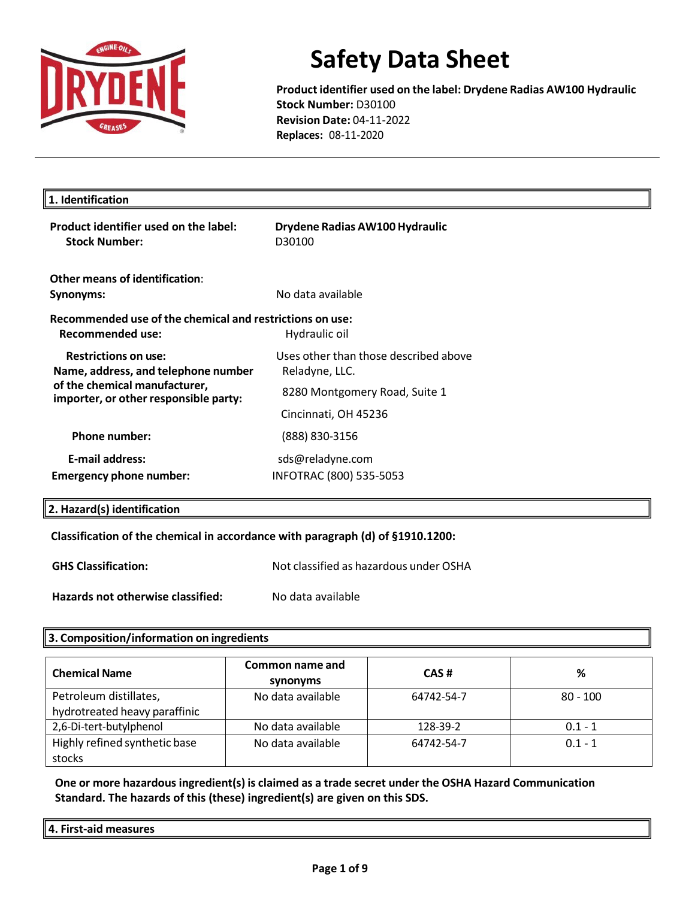

**Product identifier used on the label: Drydene Radias AW100 Hydraulic Stock Number:** D30100 **Revision Date:** 04-11-2022 **Replaces:** 08-11-2020

| 1. Identification                                                                                                                            |                                                         |  |
|----------------------------------------------------------------------------------------------------------------------------------------------|---------------------------------------------------------|--|
| Product identifier used on the label:<br><b>Stock Number:</b>                                                                                | Drydene Radias AW100 Hydraulic<br>D30100                |  |
| Other means of identification:                                                                                                               |                                                         |  |
| Synonyms:                                                                                                                                    | No data available                                       |  |
| Recommended use of the chemical and restrictions on use:<br>Recommended use:                                                                 | Hydraulic oil                                           |  |
| <b>Restrictions on use:</b><br>Name, address, and telephone number<br>of the chemical manufacturer,<br>importer, or other responsible party: | Uses other than those described above<br>Reladyne, LLC. |  |
|                                                                                                                                              | 8280 Montgomery Road, Suite 1                           |  |
|                                                                                                                                              | Cincinnati, OH 45236                                    |  |
| Phone number:                                                                                                                                | (888) 830-3156                                          |  |
| <b>E-mail address:</b>                                                                                                                       | sds@reladyne.com                                        |  |
| <b>Emergency phone number:</b>                                                                                                               | INFOTRAC (800) 535-5053                                 |  |

### **2. Hazard(s) identification**

#### **Classification of the chemical in accordance with paragraph (d) of §1910.1200:**

| <b>GHS Classification:</b>        | Not classified as hazardous under OSHA |
|-----------------------------------|----------------------------------------|
| Hazards not otherwise classified: | No data available                      |

#### **3. Composition/information on ingredients**

| <b>Chemical Name</b>                                    | Common name and<br>synonyms | CAS#       | %          |
|---------------------------------------------------------|-----------------------------|------------|------------|
| Petroleum distillates,<br>hydrotreated heavy paraffinic | No data available           | 64742-54-7 | $80 - 100$ |
| 2,6-Di-tert-butylphenol                                 | No data available           | 128-39-2   | $0.1 - 1$  |
| Highly refined synthetic base<br>stocks                 | No data available           | 64742-54-7 | $0.1 - 1$  |

**One or more hazardous ingredient(s) is claimed as a trade secret under the OSHA Hazard Communication Standard. The hazards of this (these) ingredient(s) are given on this SDS.**

**4. First-aid measures**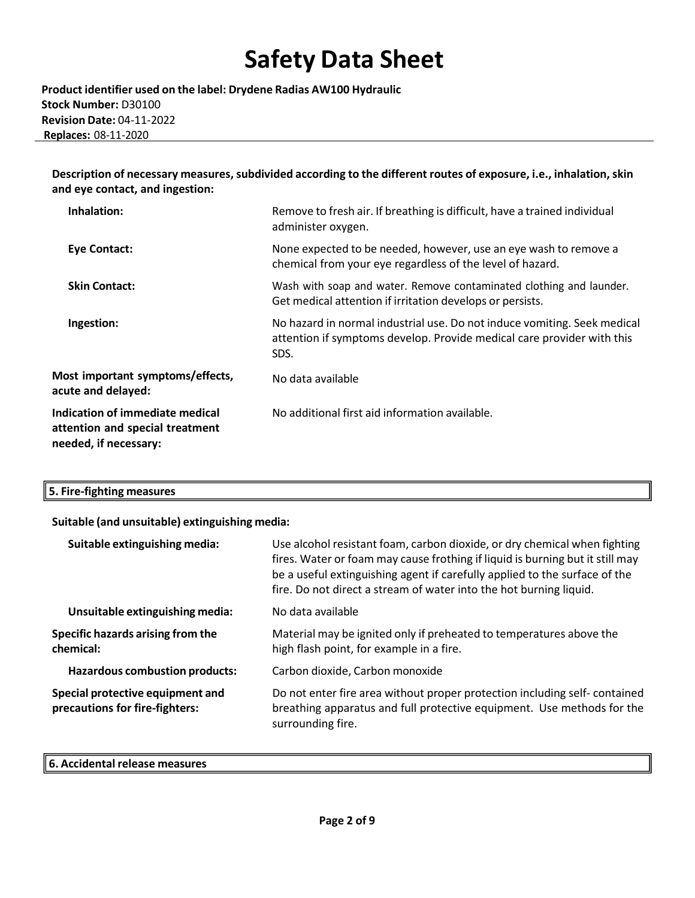**Product identifier used on the label: Drydene Radias AW100 Hydraulic Stock Number:** D30100 **Revision Date:** 04-11-2022  **Replaces:** 08-11-2020

**Description of necessary measures,subdivided according to the different routes of exposure, i.e., inhalation,skin and eye contact, and ingestion:**

| Inhalation:                                                                                 | Remove to fresh air. If breathing is difficult, have a trained individual<br>administer oxygen.                                                            |
|---------------------------------------------------------------------------------------------|------------------------------------------------------------------------------------------------------------------------------------------------------------|
| <b>Eye Contact:</b>                                                                         | None expected to be needed, however, use an eye wash to remove a<br>chemical from your eye regardless of the level of hazard.                              |
| <b>Skin Contact:</b>                                                                        | Wash with soap and water. Remove contaminated clothing and launder.<br>Get medical attention if irritation develops or persists.                           |
| Ingestion:                                                                                  | No hazard in normal industrial use. Do not induce vomiting. Seek medical<br>attention if symptoms develop. Provide medical care provider with this<br>SDS. |
| Most important symptoms/effects,<br>acute and delayed:                                      | No data available                                                                                                                                          |
| Indication of immediate medical<br>attention and special treatment<br>needed, if necessary: | No additional first aid information available.                                                                                                             |

| 5. Fire-fighting measures |
|---------------------------|
|---------------------------|

#### **Suitable (and unsuitable) extinguishing media:**

| Suitable extinguishing media:                                      | Use alcohol resistant foam, carbon dioxide, or dry chemical when fighting<br>fires. Water or foam may cause frothing if liquid is burning but it still may<br>be a useful extinguishing agent if carefully applied to the surface of the<br>fire. Do not direct a stream of water into the hot burning liquid. |
|--------------------------------------------------------------------|----------------------------------------------------------------------------------------------------------------------------------------------------------------------------------------------------------------------------------------------------------------------------------------------------------------|
| Unsuitable extinguishing media:                                    | No data available                                                                                                                                                                                                                                                                                              |
| Specific hazards arising from the<br>chemical:                     | Material may be ignited only if preheated to temperatures above the<br>high flash point, for example in a fire.                                                                                                                                                                                                |
| <b>Hazardous combustion products:</b>                              | Carbon dioxide, Carbon monoxide                                                                                                                                                                                                                                                                                |
| Special protective equipment and<br>precautions for fire-fighters: | Do not enter fire area without proper protection including self-contained<br>breathing apparatus and full protective equipment. Use methods for the<br>surrounding fire.                                                                                                                                       |

#### **6. Accidental release measures**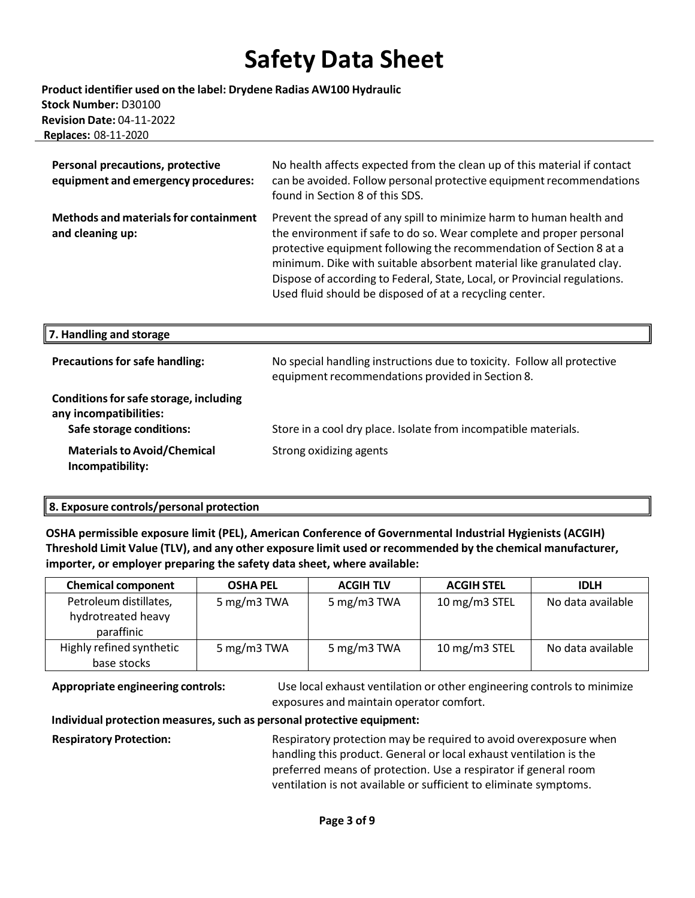#### **Product identifier used on the label: Drydene Radias AW100 Hydraulic Stock Number:** D30100 **Revision Date:** 04-11-2022  **Replaces:** 08-11-2020

| Personal precautions, protective<br>equipment and emergency procedures:                      | No health affects expected from the clean up of this material if contact<br>can be avoided. Follow personal protective equipment recommendations<br>found in Section 8 of this SDS.                                                                                                                                                                                                                                                |
|----------------------------------------------------------------------------------------------|------------------------------------------------------------------------------------------------------------------------------------------------------------------------------------------------------------------------------------------------------------------------------------------------------------------------------------------------------------------------------------------------------------------------------------|
| <b>Methods and materials for containment</b><br>and cleaning up:                             | Prevent the spread of any spill to minimize harm to human health and<br>the environment if safe to do so. Wear complete and proper personal<br>protective equipment following the recommendation of Section 8 at a<br>minimum. Dike with suitable absorbent material like granulated clay.<br>Dispose of according to Federal, State, Local, or Provincial regulations.<br>Used fluid should be disposed of at a recycling center. |
| 7. Handling and storage                                                                      |                                                                                                                                                                                                                                                                                                                                                                                                                                    |
| <b>Precautions for safe handling:</b>                                                        | No special handling instructions due to toxicity. Follow all protective<br>equipment recommendations provided in Section 8.                                                                                                                                                                                                                                                                                                        |
| Conditions for safe storage, including<br>any incompatibilities:<br>Safe storage conditions: | Store in a cool dry place. Isolate from incompatible materials.                                                                                                                                                                                                                                                                                                                                                                    |
| <b>Materials to Avoid/Chemical</b><br>Incompatibility:                                       | Strong oxidizing agents                                                                                                                                                                                                                                                                                                                                                                                                            |

### **8. Exposure controls/personal protection**

**OSHA permissible exposure limit (PEL), American Conference of Governmental Industrial Hygienists (ACGIH) Threshold Limit Value (TLV), and any other exposure limit used or recommended by the chemical manufacturer, importer, or employer preparing the safety data sheet, where available:**

| <b>Chemical component</b>                                  | <b>OSHA PEL</b> | <b>ACGIH TLV</b> | <b>ACGIH STEL</b> | <b>IDLH</b>       |
|------------------------------------------------------------|-----------------|------------------|-------------------|-------------------|
| Petroleum distillates,<br>hydrotreated heavy<br>paraffinic | 5 mg/m3 TWA     | 5 mg/m3 TWA      | 10 mg/m3 STEL     | No data available |
| Highly refined synthetic<br>base stocks                    | 5 mg/m3 TWA     | 5 mg/m3 TWA      | 10 mg/m3 STEL     | No data available |

**Appropriate engineering controls:** Use local exhaust ventilation or other engineering controls to minimize exposures and maintain operator comfort.

#### **Individual protection measures,such as personal protective equipment:**

**Respiratory Protection:** Respiratory protection may be required to avoid overexposure when handling this product. General or local exhaust ventilation is the preferred means of protection. Use a respirator if general room ventilation is not available or sufficient to eliminate symptoms.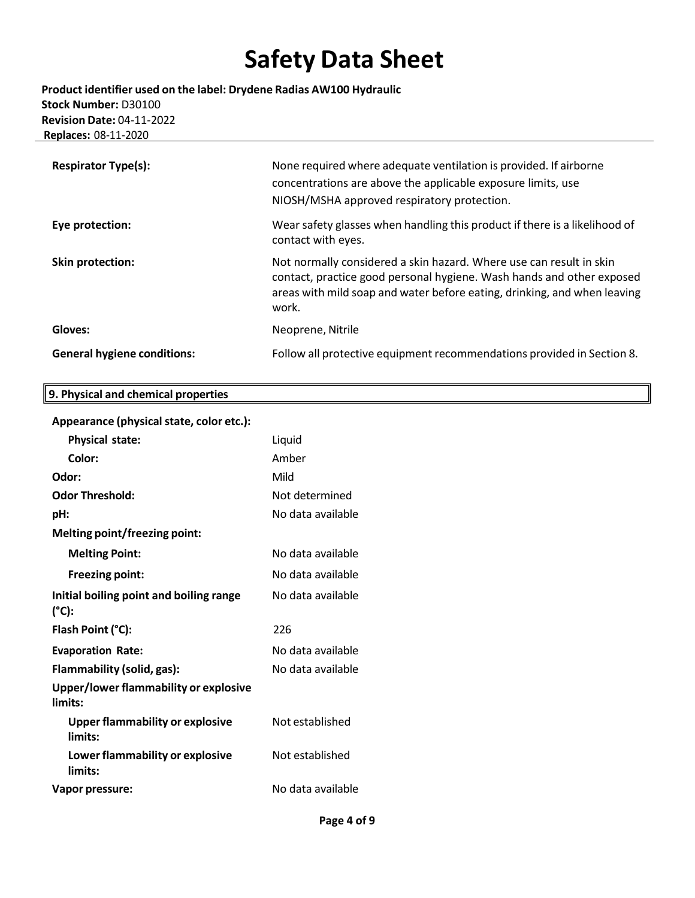**Product identifier used on the label: Drydene Radias AW100 Hydraulic Stock Number:** D30100 **Revision Date:** 04-11-2022  **Replaces:** 08-11-2020

| <b>Respirator Type(s):</b>         | None required where adequate ventilation is provided. If airborne<br>concentrations are above the applicable exposure limits, use<br>NIOSH/MSHA approved respiratory protection.                                                  |
|------------------------------------|-----------------------------------------------------------------------------------------------------------------------------------------------------------------------------------------------------------------------------------|
| Eye protection:                    | Wear safety glasses when handling this product if there is a likelihood of<br>contact with eyes.                                                                                                                                  |
| Skin protection:                   | Not normally considered a skin hazard. Where use can result in skin<br>contact, practice good personal hygiene. Wash hands and other exposed<br>areas with mild soap and water before eating, drinking, and when leaving<br>work. |
| Gloves:                            | Neoprene, Nitrile                                                                                                                                                                                                                 |
| <b>General hygiene conditions:</b> | Follow all protective equipment recommendations provided in Section 8.                                                                                                                                                            |

### **Appearance (physicalstate, color etc.):**

**9. Physical and chemical properties**

| Physical state:                                   | Liquid            |
|---------------------------------------------------|-------------------|
| Color:                                            | Amber             |
| Odor:                                             | Mild              |
| <b>Odor Threshold:</b>                            | Not determined    |
| pH:                                               | No data available |
| Melting point/freezing point:                     |                   |
| <b>Melting Point:</b>                             | No data available |
| <b>Freezing point:</b>                            | No data available |
| Initial boiling point and boiling range<br>(°C):  | No data available |
| Flash Point (°C):                                 | 226               |
| <b>Evaporation Rate:</b>                          | No data available |
| Flammability (solid, gas):                        | No data available |
| Upper/lower flammability or explosive<br>limits:  |                   |
| <b>Upper flammability or explosive</b><br>limits: | Not established   |
| Lower flammability or explosive<br>limits:        | Not established   |
|                                                   |                   |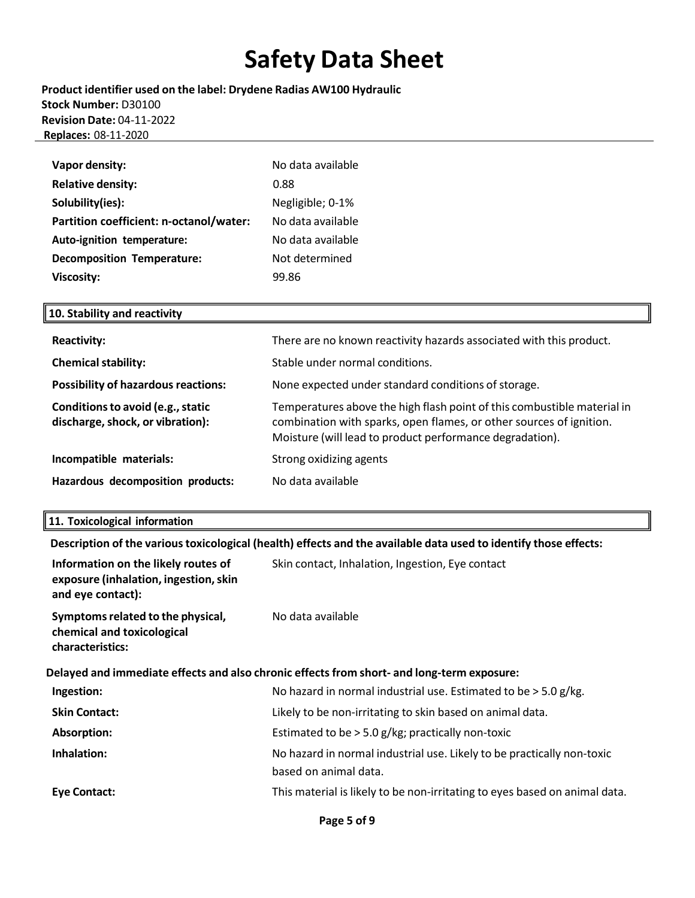**Product identifier used on the label: Drydene Radias AW100 Hydraulic Stock Number:** D30100 **Revision Date:** 04-11-2022  **Replaces:** 08-11-2020

| Vapor density:                          | No data available |
|-----------------------------------------|-------------------|
| <b>Relative density:</b>                | 0.88              |
| Solubility(ies):                        | Negligible; 0-1%  |
| Partition coefficient: n-octanol/water: | No data available |
| Auto-ignition temperature:              | No data available |
| <b>Decomposition Temperature:</b>       | Not determined    |
| <b>Viscosity:</b>                       | 99.86             |

### **10. Stability and reactivity**

| <b>Reactivity:</b>                                                    | There are no known reactivity hazards associated with this product.                                                                                                                                        |
|-----------------------------------------------------------------------|------------------------------------------------------------------------------------------------------------------------------------------------------------------------------------------------------------|
| <b>Chemical stability:</b>                                            | Stable under normal conditions.                                                                                                                                                                            |
| <b>Possibility of hazardous reactions:</b>                            | None expected under standard conditions of storage.                                                                                                                                                        |
| Conditions to avoid (e.g., static<br>discharge, shock, or vibration): | Temperatures above the high flash point of this combustible material in<br>combination with sparks, open flames, or other sources of ignition.<br>Moisture (will lead to product performance degradation). |
| Incompatible materials:                                               | Strong oxidizing agents                                                                                                                                                                                    |
| Hazardous decomposition products:                                     | No data available                                                                                                                                                                                          |

#### **11. Toxicological information**

**Description of the varioustoxicological (health) effects and the available data used to identify those effects:**

| Information on the likely routes of<br>exposure (inhalation, ingestion, skin<br>and eye contact): | Skin contact, Inhalation, Ingestion, Eye contact                                                |
|---------------------------------------------------------------------------------------------------|-------------------------------------------------------------------------------------------------|
| Symptoms related to the physical,<br>chemical and toxicological<br>characteristics:               | No data available                                                                               |
|                                                                                                   | Delayed and immediate effects and also chronic effects from short- and long-term exposure:      |
| Ingestion:                                                                                        | No hazard in normal industrial use. Estimated to be $>$ 5.0 g/kg.                               |
| <b>Skin Contact:</b>                                                                              | Likely to be non-irritating to skin based on animal data.                                       |
| Absorption:                                                                                       | Estimated to be > 5.0 g/kg; practically non-toxic                                               |
| Inhalation:                                                                                       | No hazard in normal industrial use. Likely to be practically non-toxic<br>based on animal data. |
| Eye Contact:                                                                                      | This material is likely to be non-irritating to eyes based on animal data.                      |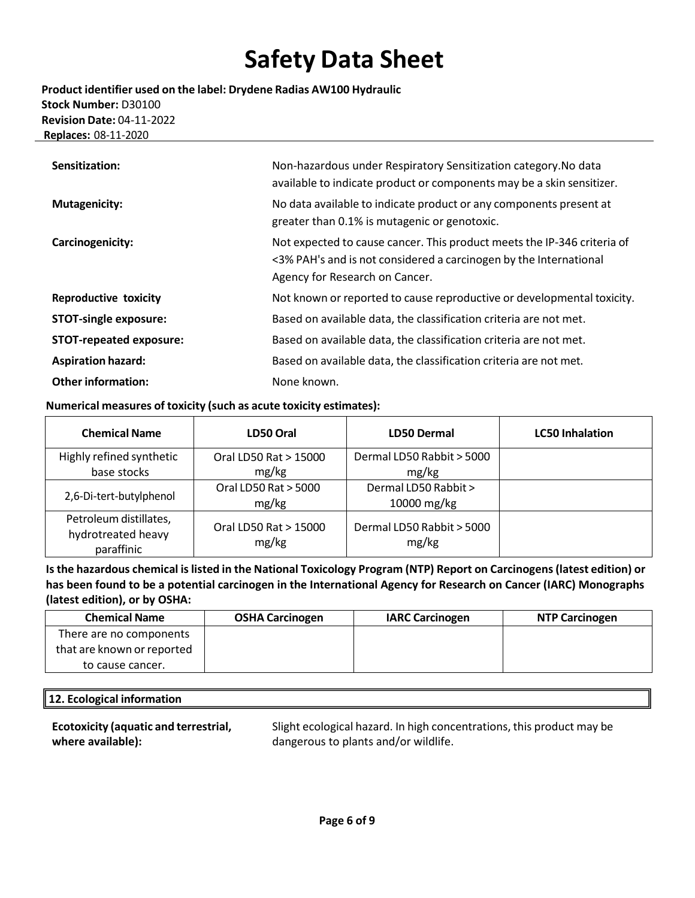**Product identifier used on the label: Drydene Radias AW100 Hydraulic Stock Number:** D30100 **Revision Date:** 04-11-2022  **Replaces:** 08-11-2020

| Sensitization:                 | Non-hazardous under Respiratory Sensitization category. No data<br>available to indicate product or components may be a skin sensitizer.                                       |
|--------------------------------|--------------------------------------------------------------------------------------------------------------------------------------------------------------------------------|
| <b>Mutagenicity:</b>           | No data available to indicate product or any components present at<br>greater than 0.1% is mutagenic or genotoxic.                                                             |
| Carcinogenicity:               | Not expected to cause cancer. This product meets the IP-346 criteria of<br><3% PAH's and is not considered a carcinogen by the International<br>Agency for Research on Cancer. |
| <b>Reproductive toxicity</b>   | Not known or reported to cause reproductive or developmental toxicity.                                                                                                         |
| <b>STOT-single exposure:</b>   | Based on available data, the classification criteria are not met.                                                                                                              |
| <b>STOT-repeated exposure:</b> | Based on available data, the classification criteria are not met.                                                                                                              |
| <b>Aspiration hazard:</b>      | Based on available data, the classification criteria are not met.                                                                                                              |
| <b>Other information:</b>      | None known.                                                                                                                                                                    |

#### **Numerical measures of toxicity (such as acute toxicity estimates):**

| <b>Chemical Name</b>                                       | LD50 Oral                      | <b>LD50 Dermal</b>                 | <b>LC50 Inhalation</b> |
|------------------------------------------------------------|--------------------------------|------------------------------------|------------------------|
| Highly refined synthetic                                   | Oral LD50 Rat > 15000          | Dermal LD50 Rabbit > 5000          |                        |
| base stocks                                                | mg/kg                          | mg/kg                              |                        |
| 2,6-Di-tert-butylphenol                                    | Oral LD50 Rat > 5000           | Dermal LD50 Rabbit >               |                        |
|                                                            | mg/kg                          | 10000 mg/kg                        |                        |
| Petroleum distillates,<br>hydrotreated heavy<br>paraffinic | Oral LD50 Rat > 15000<br>mg/kg | Dermal LD50 Rabbit > 5000<br>mg/kg |                        |

**Isthe hazardous chemical islisted in the National Toxicology Program (NTP) Report on Carcinogens(latest edition) or has been found to be a potential carcinogen in the International Agency for Research on Cancer (IARC) Monographs (latest edition), or by OSHA:**

| <b>Chemical Name</b>       | <b>OSHA Carcinogen</b> | <b>IARC Carcinogen</b> | <b>NTP Carcinogen</b> |
|----------------------------|------------------------|------------------------|-----------------------|
| There are no components    |                        |                        |                       |
| that are known or reported |                        |                        |                       |
| to cause cancer.           |                        |                        |                       |

### **12. Ecological information**

**Ecotoxicity (aquatic and terrestrial, where available):**

Slight ecological hazard. In high concentrations, this product may be dangerous to plants and/or wildlife.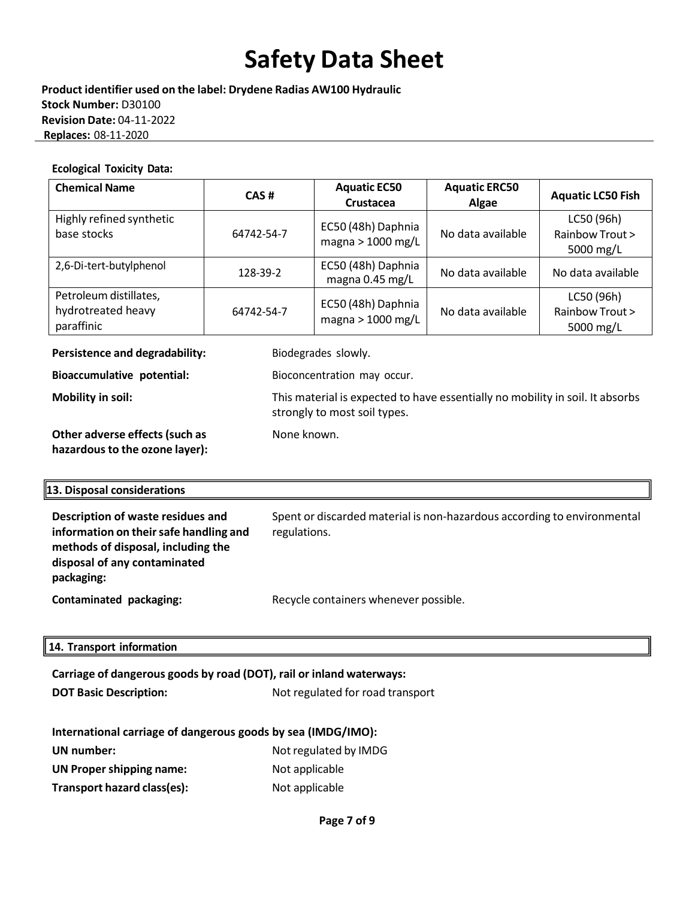**Product identifier used on the label: Drydene Radias AW100 Hydraulic Stock Number:** D30100 **Revision Date:** 04-11-2022  **Replaces:** 08-11-2020

#### **Ecological Toxicity Data:**

| <b>Chemical Name</b>                                       | CAS#       | <b>Aquatic EC50</b><br><b>Crustacea</b> | <b>Aquatic ERC50</b><br>Algae | <b>Aquatic LC50 Fish</b>                   |
|------------------------------------------------------------|------------|-----------------------------------------|-------------------------------|--------------------------------------------|
| Highly refined synthetic<br>base stocks                    | 64742-54-7 | EC50 (48h) Daphnia<br>magna > 1000 mg/L | No data available             | LC50 (96h)<br>Rainbow Trout ><br>5000 mg/L |
| 2,6-Di-tert-butylphenol                                    | 128-39-2   | EC50 (48h) Daphnia<br>magna 0.45 mg/L   | No data available             | No data available                          |
| Petroleum distillates,<br>hydrotreated heavy<br>paraffinic | 64742-54-7 | EC50 (48h) Daphnia<br>magna > 1000 mg/L | No data available             | LC50 (96h)<br>Rainbow Trout ><br>5000 mg/L |

**Persistence and degradability:** Biodegrades slowly.

None known.

strongly to most soil types.

**Bioaccumulative potential:** Bioconcentration may occur.

**Mobility in soil:** This material is expected to have essentially no mobility in soil. It absorbs

**Other adverse effects(such as hazardousto the ozone layer):**

#### **13. Disposal considerations**

| Description of waste residues and<br>information on their safe handling and<br>methods of disposal, including the<br>disposal of any contaminated<br>packaging: | Spent or discarded material is non-hazardous according to environmental<br>regulations. |
|-----------------------------------------------------------------------------------------------------------------------------------------------------------------|-----------------------------------------------------------------------------------------|
| Contaminated packaging:                                                                                                                                         | Recycle containers whenever possible.                                                   |

#### **14. Transport information**

| Carriage of dangerous goods by road (DOT), rail or inland waterways: |                       |  |  |  |  |  |
|----------------------------------------------------------------------|-----------------------|--|--|--|--|--|
| Not regulated for road transport<br><b>DOT Basic Description:</b>    |                       |  |  |  |  |  |
|                                                                      |                       |  |  |  |  |  |
| International carriage of dangerous goods by sea (IMDG/IMO):         |                       |  |  |  |  |  |
| UN number:                                                           | Not regulated by IMDG |  |  |  |  |  |
| <b>UN Proper shipping name:</b>                                      | Not applicable        |  |  |  |  |  |
| Transport hazard class(es):                                          | Not applicable        |  |  |  |  |  |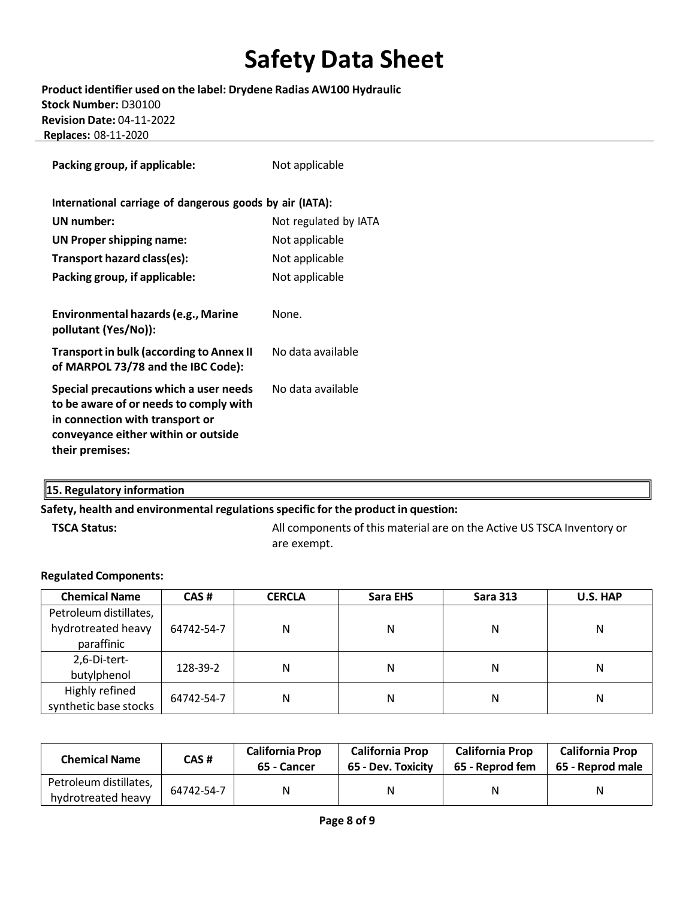**Product identifier used on the label: Drydene Radias AW100 Hydraulic Stock Number:** D30100 **Revision Date:** 04-11-2022  **Replaces:** 08-11-2020

| Packing group, if applicable:                                                                                                                                                 | Not applicable        |  |
|-------------------------------------------------------------------------------------------------------------------------------------------------------------------------------|-----------------------|--|
| International carriage of dangerous goods by air (IATA):                                                                                                                      |                       |  |
| UN number:                                                                                                                                                                    | Not regulated by IATA |  |
| <b>UN Proper shipping name:</b>                                                                                                                                               | Not applicable        |  |
| Transport hazard class(es):                                                                                                                                                   | Not applicable        |  |
| Packing group, if applicable:                                                                                                                                                 | Not applicable        |  |
| Environmental hazards (e.g., Marine<br>pollutant (Yes/No)):                                                                                                                   | None.                 |  |
| <b>Transport in bulk (according to Annex II</b><br>of MARPOL 73/78 and the IBC Code):                                                                                         | No data available     |  |
| Special precautions which a user needs<br>to be aware of or needs to comply with<br>in connection with transport or<br>conveyance either within or outside<br>their premises: | No data available     |  |

### **15. Regulatory information**

#### **Safety, health and environmental regulationsspecific for the product in question:**

**TSCA Status:** All components of this material are on the Active US TSCA Inventory or are exempt.

#### **Regulated Components:**

| <b>Chemical Name</b>   | CAS#       | <b>CERCLA</b> | Sara EHS | <b>Sara 313</b> | U.S. HAP |
|------------------------|------------|---------------|----------|-----------------|----------|
| Petroleum distillates, |            |               |          |                 |          |
| hydrotreated heavy     | 64742-54-7 | Ν             | Ν        | Ν               | Ν        |
| paraffinic             |            |               |          |                 |          |
| 2,6-Di-tert-           |            |               |          |                 |          |
| butylphenol            | 128-39-2   | N             | Ν        | Ν               | N        |
| Highly refined         |            |               | Ν        | N               |          |
| synthetic base stocks  | 64742-54-7 | N             |          |                 | Ν        |

| <b>Chemical Name</b>   | CAS #      | <b>California Prop</b><br>65 - Cancer | <b>California Prop</b><br>65 - Dev. Toxicity | <b>California Prop</b><br><b>California Prop</b><br>65 - Reprod fem<br>65 - Reprod male |   |
|------------------------|------------|---------------------------------------|----------------------------------------------|-----------------------------------------------------------------------------------------|---|
| Petroleum distillates, | 64742-54-7 | N                                     | Ν                                            | Ν                                                                                       | Ν |
| hydrotreated heavy     |            |                                       |                                              |                                                                                         |   |